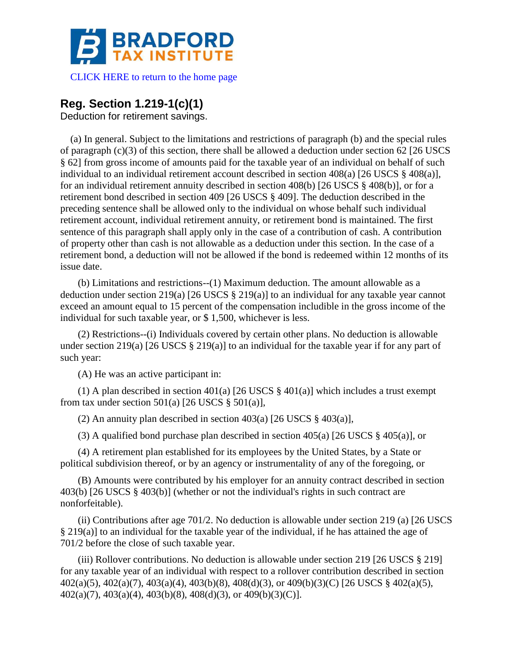

[CLICK HERE to return to the home page](http://bradfordtaxinstitute.com/index1.aspx) 

## **Reg. Section 1.219-1(c)(1)**

Deduction for retirement savings.

(a) In general. Subject to the limitations and restrictions of paragraph (b) and the special rules of paragraph  $(c)(3)$  of this section, there shall be allowed a deduction under section 62 [26 USCS] § 62] from gross income of amounts paid for the taxable year of an individual on behalf of such individual to an individual retirement account described in section 408(a) [26 USCS § 408(a)], for an individual retirement annuity described in section 408(b) [26 USCS § 408(b)], or for a retirement bond described in section 409 [26 USCS § 409]. The deduction described in the preceding sentence shall be allowed only to the individual on whose behalf such individual retirement account, individual retirement annuity, or retirement bond is maintained. The first sentence of this paragraph shall apply only in the case of a contribution of cash. A contribution of property other than cash is not allowable as a deduction under this section. In the case of a retirement bond, a deduction will not be allowed if the bond is redeemed within 12 months of its issue date.

(b) Limitations and restrictions--(1) Maximum deduction. The amount allowable as a deduction under section 219(a) [26 USCS § 219(a)] to an individual for any taxable year cannot exceed an amount equal to 15 percent of the compensation includible in the gross income of the individual for such taxable year, or \$ 1,500, whichever is less.

(2) Restrictions--(i) Individuals covered by certain other plans. No deduction is allowable under section 219(a) [26 USCS § 219(a)] to an individual for the taxable year if for any part of such year:

(A) He was an active participant in:

(1) A plan described in section 401(a) [26 USCS  $\S$  401(a)] which includes a trust exempt from tax under section  $501(a)$  [26 USCS §  $501(a)$ ],

(2) An annuity plan described in section  $403(a)$  [26 USCS §  $403(a)$ ],

(3) A qualified bond purchase plan described in section 405(a) [26 USCS § 405(a)], or

(4) A retirement plan established for its employees by the United States, by a State or political subdivision thereof, or by an agency or instrumentality of any of the foregoing, or

(B) Amounts were contributed by his employer for an annuity contract described in section 403(b) [26 USCS § 403(b)] (whether or not the individual's rights in such contract are nonforfeitable).

(ii) Contributions after age 701/2. No deduction is allowable under section 219 (a) [26 USCS § 219(a)] to an individual for the taxable year of the individual, if he has attained the age of 701/2 before the close of such taxable year.

(iii) Rollover contributions. No deduction is allowable under section 219 [26 USCS § 219] for any taxable year of an individual with respect to a rollover contribution described in section 402(a)(5), 402(a)(7), 403(a)(4), 403(b)(8), 408(d)(3), or 409(b)(3)(C) [26 USCS § 402(a)(5), 402(a)(7), 403(a)(4), 403(b)(8), 408(d)(3), or 409(b)(3)(C)].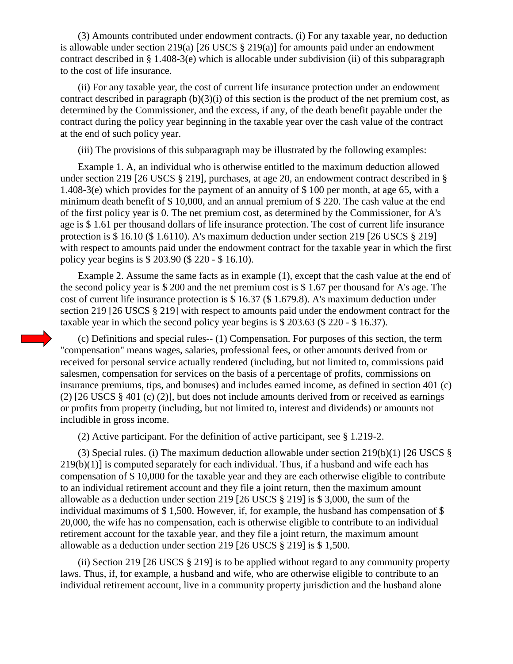(3) Amounts contributed under endowment contracts. (i) For any taxable year, no deduction is allowable under section 219(a) [26 USCS § 219(a)] for amounts paid under an endowment contract described in § 1.408-3(e) which is allocable under subdivision (ii) of this subparagraph to the cost of life insurance.

(ii) For any taxable year, the cost of current life insurance protection under an endowment contract described in paragraph (b)(3)(i) of this section is the product of the net premium cost, as determined by the Commissioner, and the excess, if any, of the death benefit payable under the contract during the policy year beginning in the taxable year over the cash value of the contract at the end of such policy year.

(iii) The provisions of this subparagraph may be illustrated by the following examples:

Example 1. A, an individual who is otherwise entitled to the maximum deduction allowed under section 219 [26 USCS § 219], purchases, at age 20, an endowment contract described in § 1.408-3(e) which provides for the payment of an annuity of \$ 100 per month, at age 65, with a minimum death benefit of \$ 10,000, and an annual premium of \$ 220. The cash value at the end of the first policy year is 0. The net premium cost, as determined by the Commissioner, for A's age is \$ 1.61 per thousand dollars of life insurance protection. The cost of current life insurance protection is \$ 16.10 (\$ 1.6110). A's maximum deduction under section 219 [26 USCS § 219] with respect to amounts paid under the endowment contract for the taxable year in which the first policy year begins is \$ 203.90 (\$ 220 - \$ 16.10).

Example 2. Assume the same facts as in example (1), except that the cash value at the end of the second policy year is \$ 200 and the net premium cost is \$ 1.67 per thousand for A's age. The cost of current life insurance protection is \$ 16.37 (\$ 1.679.8). A's maximum deduction under section 219 [26 USCS § 219] with respect to amounts paid under the endowment contract for the taxable year in which the second policy year begins is \$ 203.63 (\$ 220 - \$ 16.37).

(c) Definitions and special rules-- (1) Compensation. For purposes of this section, the term "compensation" means wages, salaries, professional fees, or other amounts derived from or received for personal service actually rendered (including, but not limited to, commissions paid salesmen, compensation for services on the basis of a percentage of profits, commissions on insurance premiums, tips, and bonuses) and includes earned income, as defined in section 401 (c) (2) [26 USCS § 401 (c) (2)], but does not include amounts derived from or received as earnings or profits from property (including, but not limited to, interest and dividends) or amounts not includible in gross income.

(2) Active participant. For the definition of active participant, see § 1.219-2.

(3) Special rules. (i) The maximum deduction allowable under section 219(b)(1) [26 USCS §  $219(b)(1)$  is computed separately for each individual. Thus, if a husband and wife each has compensation of \$ 10,000 for the taxable year and they are each otherwise eligible to contribute to an individual retirement account and they file a joint return, then the maximum amount allowable as a deduction under section 219 [26 USCS § 219] is \$ 3,000, the sum of the individual maximums of  $$ 1,500$ . However, if, for example, the husband has compensation of  $$$ 20,000, the wife has no compensation, each is otherwise eligible to contribute to an individual retirement account for the taxable year, and they file a joint return, the maximum amount allowable as a deduction under section 219 [26 USCS § 219] is \$ 1,500.

(ii) Section 219 [26 USCS § 219] is to be applied without regard to any community property laws. Thus, if, for example, a husband and wife, who are otherwise eligible to contribute to an individual retirement account, live in a community property jurisdiction and the husband alone